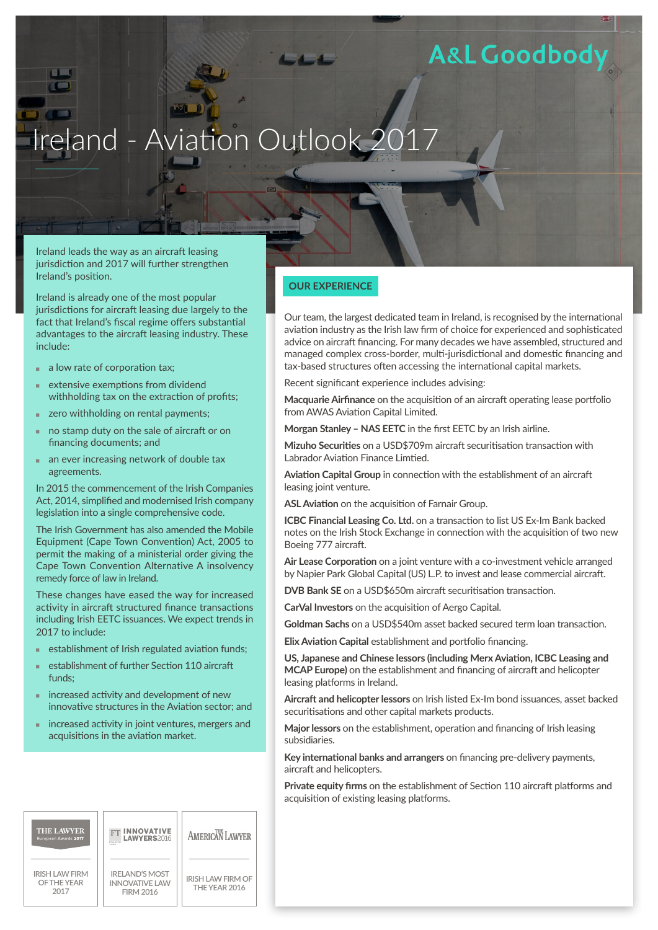### **A&L Goodbod**

# Ireland - Aviation Outlook 2

Ireland leads the way as an aircraft leasing jurisdiction and 2017 will further strengthen Ireland's position.

Ireland is already one of the most popular jurisdictions for aircraft leasing due largely to the fact that Ireland's fiscal regime offers substantial advantages to the aircraft leasing industry. These include:

- $\blacksquare$  a low rate of corporation tax;
- extensive exemptions from dividend withholding tax on the extraction of profits;
- $\blacksquare$  zero withholding on rental payments;
- no stamp duty on the sale of aircraft or on financing documents; and
- an ever increasing network of double tax agreements.

In 2015 the commencement of the Irish Companies Act, 2014, simplified and modernised Irish company legislation into a single comprehensive code.

The Irish Government has also amended the Mobile Equipment (Cape Town Convention) Act, 2005 to permit the making of a ministerial order giving the Cape Town Convention Alternative A insolvency remedy force of law in Ireland.

These changes have eased the way for increased activity in aircraft structured finance transactions including Irish EETC issuances. We expect trends in 2017 to include:

- establishment of Irish regulated aviation funds;
- establishment of further Section 110 aircraft funds;
- $\blacksquare$  increased activity and development of new innovative structures in the Aviation sector; and
- increased activity in joint ventures, mergers and acquisitions in the aviation market.



### **OUR EXPERIENCE**

Our team, the largest dedicated team in Ireland, is recognised by the international aviation industry as the Irish law firm of choice for experienced and sophisticated advice on aircraft financing. For many decades we have assembled, structured and managed complex cross-border, multi-jurisdictional and domestic financing and tax-based structures often accessing the international capital markets.

Recent significant experience includes advising:

**Macquarie Airfinance** on the acquisition of an aircraft operating lease portfolio from AWAS Aviation Capital Limited.

**Morgan Stanley – NAS EETC** in the first EETC by an Irish airline.

**Mizuho Securities** on a USD\$709m aircraft securitisation transaction with Labrador Aviation Finance Limtied.

**Aviation Capital Group** in connection with the establishment of an aircraft leasing joint venture.

**ASL Aviation** on the acquisition of Farnair Group.

**ICBC Financial Leasing Co. Ltd.** on a transaction to list US Ex-Im Bank backed notes on the Irish Stock Exchange in connection with the acquisition of two new Boeing 777 aircraft.

**Air Lease Corporation** on a joint venture with a co-investment vehicle arranged by Napier Park Global Capital (US) L.P. to invest and lease commercial aircraft.

**DVB Bank SE** on a USD\$650m aircraft securitisation transaction.

**CarVal Investors** on the acquisition of Aergo Capital.

**Goldman Sachs** on a USD\$540m asset backed secured term loan transaction.

**Elix Aviation Capital** establishment and portfolio financing.

**US, Japanese and Chinese lessors (including Merx Aviation, ICBC Leasing and MCAP Europe)** on the establishment and financing of aircraft and helicopter leasing platforms in Ireland.

**Aircraft and helicopter lessors** on Irish listed Ex-Im bond issuances, asset backed securitisations and other capital markets products.

**Major lessors** on the establishment, operation and financing of Irish leasing subsidiaries.

**Key international banks and arrangers** on financing pre-delivery payments, aircraft and helicopters.

**Private equity firms** on the establishment of Section 110 aircraft platforms and acquisition of existing leasing platforms.